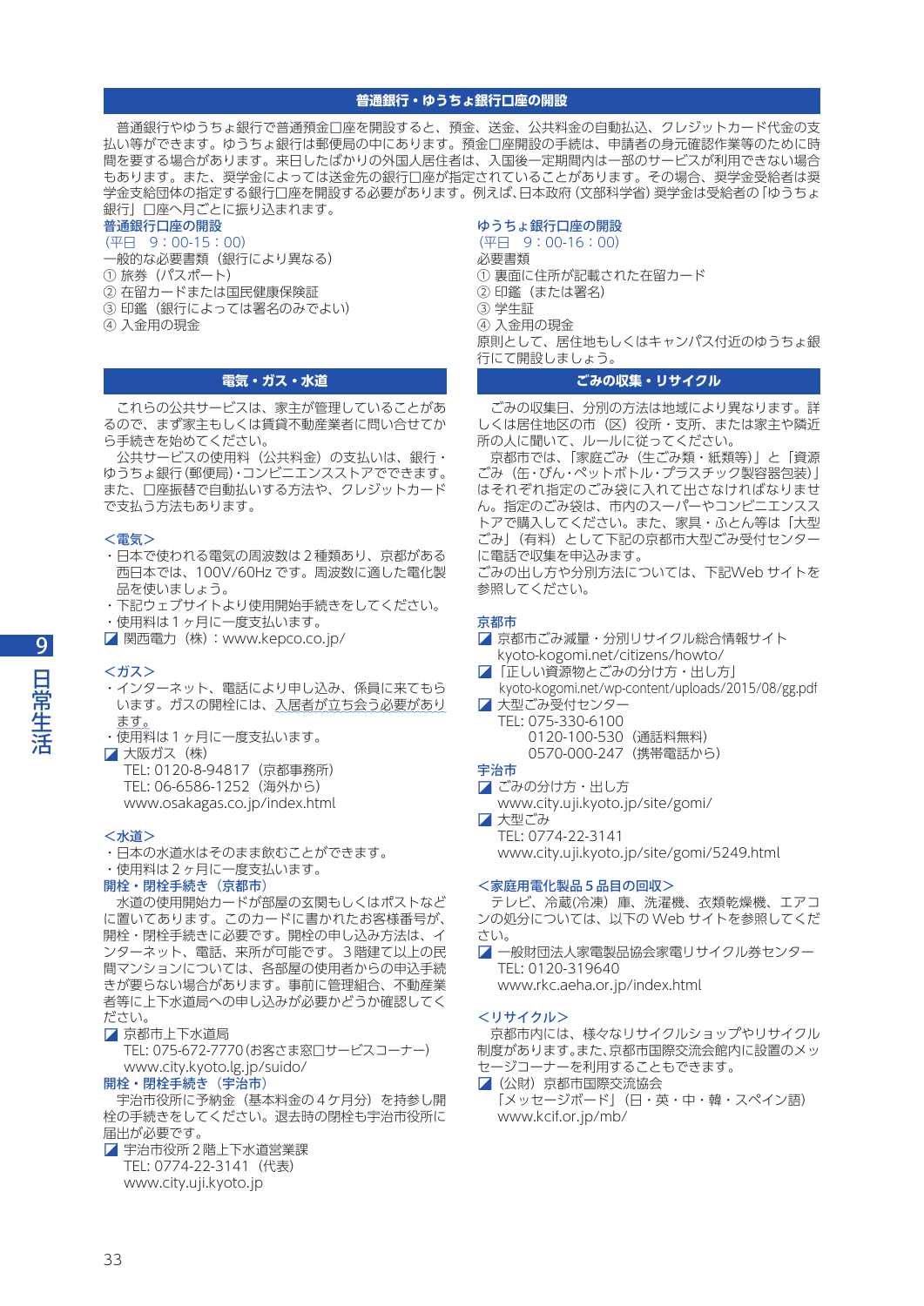## **普通銀行・ゆうちょ銀行口座の開設**

 普通銀行やゆうちょ銀行で普通預金口座を開設すると、預金、送金、公共料金の自動払込、クレジットカード代金の支 払い等ができます。ゆうちょ銀行は郵便局の中にあります。預金口座開設の手続は、申請者の身元確認作業等のために時 間を要する場合があります。来日したばかりの外国人居住者は、入国後一定期間内は一部のサービスが利用できない場合 もあります。また、奨学金によっては送金先の銀行口座が指定されていることがあります。その場合、奨学金受給者は奨 学金支給団体の指定する銀行口座を開設する必要があります。例えば、日本政府(文部科学省)奨学金は受給者の「ゆうちょ 銀行」口座へ月ごとに振り込まれます。

# 普通銀行口座の開設

(平日 9:00-15:00) 一般的な必要書類(銀行により異なる) ① 旅券 (パスポート) ② 在留カードまたは国民健康保険証 ③ 印鑑(銀行によっては署名のみでよい) ④ 入金用の現金

## **電気・ガス・水道**

 これらの公共サービスは、家主が管理していることがあ るので、まず家主もしくは賃貸不動産業者に問い合せてか ら手続きを始めてください。

 公共サービスの使用料(公共料金)の支払いは、銀行・ ゆうちょ銀行(郵便局)・コンビニエンスストアでできます。 また、口座振替で自動払いする方法や、クレジットカード で支払う方法もあります。

#### <電気>

- ・日本で使われる電気の周波数は2種類あり、京都がある 西日本では、100V/60Hz です。周波数に適した電化製 品を使いましょう。
- ・下記ウェブサイトより使用開始手続きをしてください。
- ・使用料は1ヶ月に一度支払います。
- **7** 関西電力 (株): www.kepco.co.jp/

#### <ガス>

- ・インターネット、電話により申し込み、係員に来てもら います。ガスの開栓には、入居者が立ち会う必要があり ます。
- ・使用料は1ヶ月に一度支払います。
- ■大阪ガス (株)

TEL: 0120-8-94817(京都事務所) TEL: 06-6586-1252(海外から) www.osakagas.co.jp/index.html

## <水道>

- ・日本の水道水はそのまま飲むことができます。
- ・使用料は2ヶ月に一度支払います。

# 開栓・閉栓手続き(京都市)

 水道の使用開始カードが部屋の玄関もしくはポストなど に置いてあります。このカードに書かれたお客様番号が、 開栓・閉栓手続きに必要です。開栓の申し込み方法は、イ ンターネット、電話、来所が可能です。3階建て以上の民 間マンションについては、各部屋の使用者からの申込手続 きが要らない場合があります。事前に管理組合、不動産業 者等に上下水道局への申し込みが必要かどうか確認してく ださい。

◪ 京都市上下水道局

TEL: 075-672-7770(お客さま窓口サービスコーナー) www.city.kyoto.lg.jp/suido/

## 開栓・閉栓手続き(宇治市)

 宇治市役所に予納金(基本料金の4ケ月分)を持参し開 栓の手続きをしてください。退去時の閉栓も宇治市役所に 届出が必要です。

◪ 宇治市役所2階上下水道営業課 TEL: 0774-22-3141(代表) www.city.uji.kyoto.jp

## ゆうちょ銀行口座の開設

(平日 9:00-16:00) 必要書類 ① 裏面に住所が記載された在留カード ② 印鑑(または署名) ③ 学生証 ④ 入金用の現金 原則として、居住地もしくはキャンパス付近のゆうちょ銀 行にて開設しましょう。

## **ごみの収集・リサイクル**

 ごみの収集日、分別の方法は地域により異なります。詳 しくは居住地区の市(区)役所・支所、または家主や隣近 所の人に聞いて、ルールに従ってください。

 京都市では、「家庭ごみ(生ごみ類・紙類等)」と「資源 ごみ(缶・びん・ペットボトル・プラスチック製容器包装)」 はそれぞれ指定のごみ袋に入れて出さなければなりませ ん。指定のごみ袋は、市内のスーパーやコンビニエンスス トアで購入してください。また、家具・ふとん等は「大型 ごみ」(有料)として下記の京都市大型ごみ受付センター に電話で収集を申込みます。

ごみの出し方や分別方法については、下記Web サイトを 参照してください。

#### 京都市

- 京都市ごみ減量・分別リサイクル総合情報サイト kyoto-kogomi.net/citizens/howto/
- ◪ 「正しい資源物とごみの分け方・出し方」
- kyoto-kogomi.net/wp-content/uploads/2015/08/gg.pdf ■ 大型ごみ受付センター
- TEL: 075-330-6100 0120-100-530(通話料無料) 0570-000-247(携帯電話から)

# 宇治市

- ごみの分け方・出し方 www.city.uji.kyoto.jp/site/gomi/
- 大型ごみ

TEL: 0774-22-3141 www.city.uji.kyoto.jp/site/gomi/5249.html

#### <家庭用電化製品5品目の回収>

テレビ、冷蔵(冷凍)庫、洗濯機、衣類乾燥機、エアコ ンの処分については、以下の Web サイトを参照してくだ さい。

◪ 一般財団法人家電製品協会家電リサイクル券センター TEL: 0120-319640

www.rkc.aeha.or.jp/index.html

## <リサイクル>

 京都市内には、様々なリサイクルショップやリサイクル 制度があります。また、京都市国際交流会館内に設置のメッ セージコーナーを利用することもできます。

- ◪(公財)京都市国際交流協会
- 「メッセージボード」(日・英・中・韓・スペイン語) www.kcif.or.jp/mb/

 $9$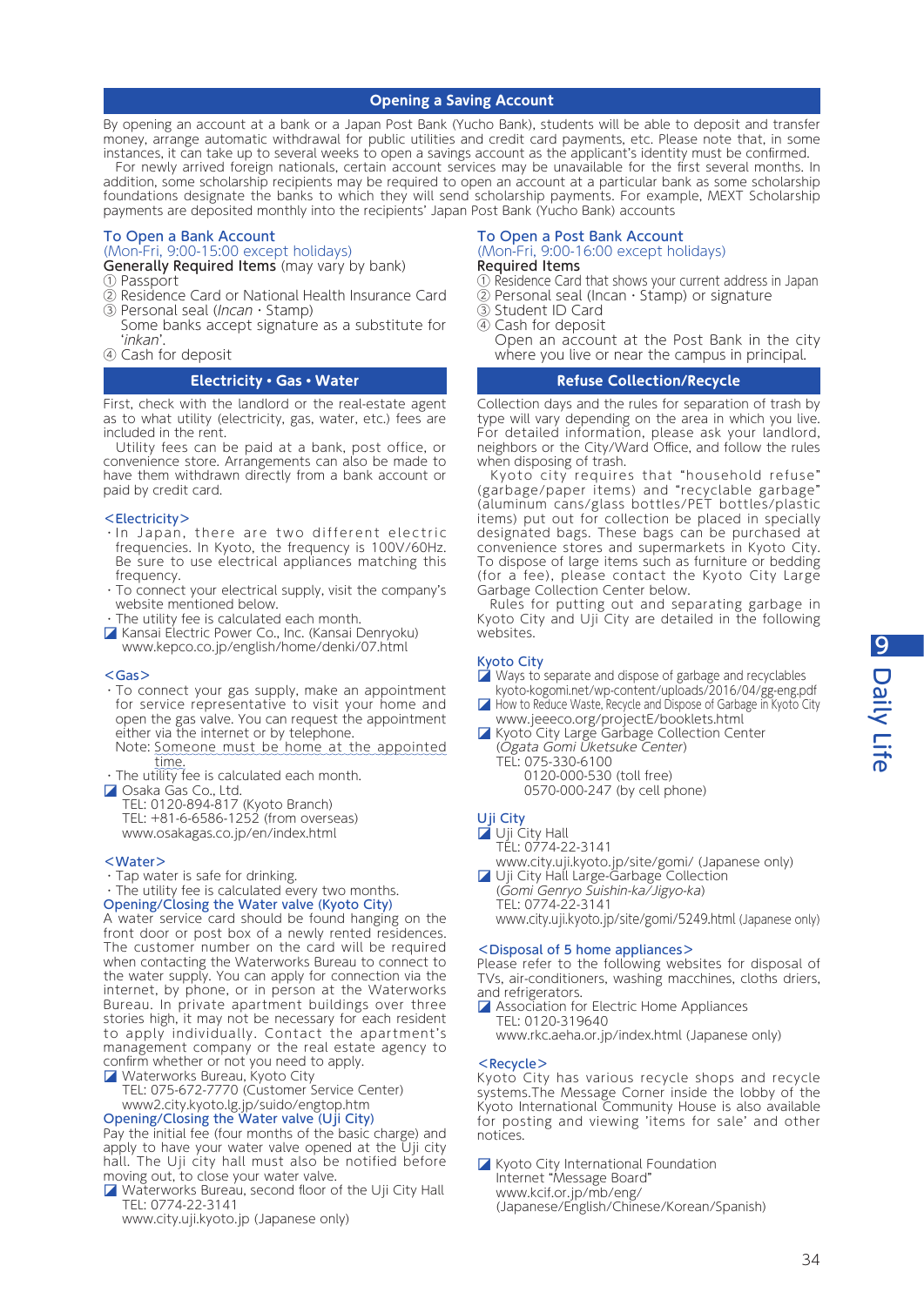## **Opening a Saving Account**

By opening an account at a bank or a Japan Post Bank (Yucho Bank), students will be able to deposit and transfer money, arrange automatic withdrawal for public utilities and credit card payments, etc. Please note that, in some instances, it can take up to several weeks to open a savings account as the applicant's identity must be confirmed.

 For newly arrived foreign nationals, certain account services may be unavailable for the first several months. In addition, some scholarship recipients may be required to open an account at a particular bank as some scholarship foundations designate the banks to which they will send scholarship payments. For example, MEXT Scholarship payments are deposited monthly into the recipients' Japan Post Bank (Yucho Bank) accounts

## To Open a Bank Account

(Mon-Fri, 9:00-15:00 except holidays)

- Generally Required Items (may vary by bank)
- ① Passport
- ② Residence Card or National Health Insurance Card ③ Personal seal (Incan・Stamp)
- Some banks accept signature as a substitute for 'inkan'.
- ④ Cash for deposit

## **Electricity・Gas・Water**

First, check with the landlord or the real-estate agent as to what utility (electricity, gas, water, etc.) fees are included in the rent.

 Utility fees can be paid at a bank, post office, or convenience store. Arrangements can also be made to have them withdrawn directly from a bank account or paid by credit card.

#### <Electricity>

- ・In Japan, there are two different electric frequencies. In Kyoto, the frequency is 100V/60Hz. Be sure to use electrical appliances matching this frequency.
- ・To connect your electrical supply, visit the company's website mentioned below.
- ・The utility fee is calculated each month.
- Kansai Electric Power Co., Inc. (Kansai Denryoku) www.kepco.co.jp/english/home/denki/07.html

#### <Gas>

- ・To connect your gas supply, make an appointment for service representative to visit your home and open the gas valve. You can request the appointment either via the internet or by telephone.
- Note: Someone must be home at the appointed time
- ・The utility fee is calculated each month.
- ◪ Osaka Gas Co., Ltd. TEL: 0120-894-817 (Kyoto Branch) TEL: +81-6-6586-1252 (from overseas) www.osakagas.co.jp/en/index.html

#### <Water>

・Tap water is safe for drinking.

・The utility fee is calculated every two months. Opening/Closing the Water valve (Kyoto City)

A water service card should be found hanging on the front door or post box of a newly rented residences. The customer number on the card will be required when contacting the Waterworks Bureau to connect to the water supply. You can apply for connection via the internet, by phone, or in person at the Waterworks Bureau. In private apartment buildings over three stories high, it may not be necessary for each resident to apply individually. Contact the apartment's management company or the real estate agency to confirm whether or not you need to apply.

- Waterworks Bureau, Kyoto City
	- TEL: 075-672-7770 (Customer Service Center) www2.city.kyoto.lg.jp/suido/engtop.htm

#### Opening/Closing the Water valve (Uji City)

Pay the initial fee (four months of the basic charge) and apply to have your water valve opened at the Uji city hall. The Uji city hall must also be notified before moving out, to close your water valve.

- Waterworks Bureau, second floor of the Uji City Hall TEL: 0774-22-3141
	- www.city.uji.kyoto.jp (Japanese only)

# To Open a Post Bank Account

#### (Mon-Fri, 9:00-16:00 except holidays) Required Items

- ① Residence Card that shows your current address in Japan
- ② Personal seal (Incan・Stamp) or signature
- ③ Student ID Card
- ④ Cash for deposit

 Open an account at the Post Bank in the city where you live or near the campus in principal.

#### **Refuse Collection/Recycle**

Collection days and the rules for separation of trash by type will vary depending on the area in which you live. For detailed information, please ask your landlord, neighbors or the City/Ward Office, and follow the rules when disposing of trash.

Kyoto city requires that "household refuse" (garbage/paper items) and "recyclable garbage" (aluminum cans/glass bottles/PET bottles/plastic items) put out for collection be placed in specially designated bags. These bags can be purchased at convenience stores and supermarkets in Kyoto City. To dispose of large items such as furniture or bedding (for a fee), please contact the Kyoto City Large Garbage Collection Center below.

 Rules for putting out and separating garbage in Kyoto City and Uji City are detailed in the following websites.

## Kyoto City

- $\Gamma$  Ways to separate and dispose of garbage and recyclables
- kyoto-kogomi.net/wp-content/uploads/2016/04/gg-eng.pdf ■ How to Reduce Waste, Recycle and Dispose of Garbage in Kyoto City
- www.jeeeco.org/projectE/booklets.html
- ◪ Kyoto City Large Garbage Collection Center (Ogata Gomi Uketsuke Center) TEL: 075-330-6100
	- 0120-000-530 (toll free) 0570-000-247 (by cell phone)
	-

## Uji City

 $\nabla$  Uji City Hall

- TEL: 0774-22-3141
- www.city.uji.kyoto.jp/site/gomi/ (Japanese only)
- Uji City Hall Large-Garbage Collection (Gomi Genryo Suishin-ka/Jigyo-ka)
- TEL: 0774-22-3141

www.city.uji.kyoto.jp/site/gomi/5249.html (Japanese only)

## <Disposal of 5 home appliances>

Please refer to the following websites for disposal of TVs, air-conditioners, washing macchines, cloths driers, and refrigerators.

- Association for Electric Home Appliances TEL: 0120-319640
	- www.rkc.aeha.or.jp/index.html (Japanese only)

## <Recycle>

Kyoto City has various recycle shops and recycle systems.The Message Corner inside the lobby of the Kyoto International Community House is also available for posting and viewing 'items for sale' and other notices.

◪ Kyoto City International Foundation Internet "Message Board" www.kcif.or.jp/mb/eng/

(Japanese/English/Chinese/Korean/Spanish)

9

Daily Life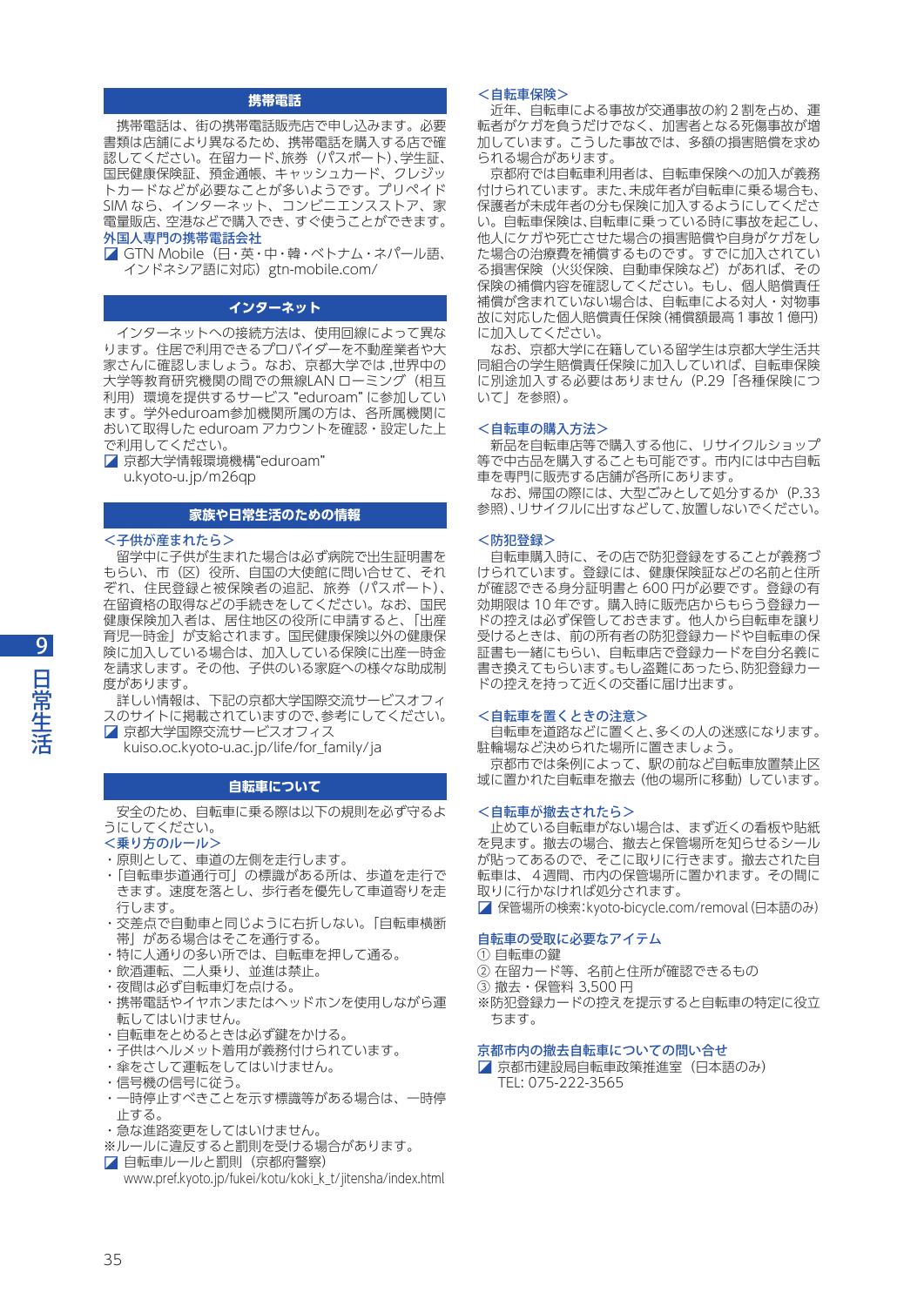## **携帯電話**

 携帯電話は、街の携帯電話販売店で申し込みます。必要 書類は店舗により異なるため、携帯電話を購入する店で確 **認してください。在留カード、旅券 (パスポート)、学生証、** 国民健康保険証、預金通帳、キャッシュカード、クレジッ トカードなどが必要なことが多いようです。プリペイド SIM なら、インターネット、コンビニエンスストア、家 電量販店、空港などで購入でき、すぐ使うことができます。 外国人専門の携帯電話会社

■ GTN Mobile (日・英・中・韓・ベトナム・ネパール語、 インドネシア語に対応) gtn-mobile.com/

## **インターネット**

 インターネットへの接続方法は、使用回線によって異な ります。住居で利用できるプロバイダーを不動産業者や大 家さんに確認しましょう。なお、京都大学では ,世界中の 大学等教育研究機関の間での無線LAN ローミング(相互 利用)環境を提供するサービス "eduroam" に参加してい ます。学外eduroam参加機関所属の方は、各所属機関に おいて取得した eduroam アカウントを確認・設定した上 で利用してください。

◪ 京都大学情報環境機構"eduroam" u.kyoto-u.jp/m26qp

## **家族や日常生活のための情報**

#### <子供が産まれたら>

 留学中に子供が生まれた場合は必ず病院で出生証明書を もらい、市(区)役所、自国の大使館に問い合せて、それ ぞれ、住民登録と被保険者の追記、旅券(パスポート)、 在留資格の取得などの手続きをしてください。なお、国民 健康保険加入者は、居住地区の役所に申請すると、「出産 育児一時金」が支給されます。国民健康保険以外の健康保 険に加入している場合は、加入している保険に出産一時金 を請求します。その他、子供のいる家庭への様々な助成制 度があります。

 詳しい情報は、下記の京都大学国際交流サービスオフィ スのサイトに掲載されていますので、参考にしてください。 ■ 京都大学国際交流サービスオフィス

kuiso.oc.kyoto-u.ac.jp/life/for\_family/ja

## **自転車について**

 安全のため、自転車に乗る際は以下の規則を必ず守るよ うにしてください。

- <乗り方のルール>
- ・原則として、車道の左側を走行します。
- ・「自転車歩道通行可」の標識がある所は、歩道を走行で きます。速度を落とし、歩行者を優先して車道寄りを走 行します。
- ・交差点で自動車と同じように右折しない。「自転車横断 帯」がある場合はそこを通行する。
- ・特に人通りの多い所では、自転車を押して通る。
- ・飲酒運転、二人乗り、並進は禁止。
- ・夜間は必ず自転車灯を点ける。
- ・携帯電話やイヤホンまたはヘッドホンを使用しながら運 転してはいけません。
- ・自転車をとめるときは必ず鍵をかける。
- ・子供はヘルメット着用が義務付けられています。
- ・傘をさして運転をしてはいけません。
- ・信号機の信号に従う。
- ・一時停止すべきことを示す標識等がある場合は、一時停 止する。
- ・急な進路変更をしてはいけません。

※ルールに違反すると罰則を受ける場合があります。

◪ 自転車ルールと罰則(京都府警察) www.pref.kyoto.jp/fukei/kotu/koki\_k\_t/jitensha/index.html

#### <自転車保険>

 近年、自転車による事故が交通事故の約2割を占め、運 転者がケガを負うだけでなく、加害者となる死傷事故が増 加しています。こうした事故では、多額の損害賠償を求め られる場合があります。

 京都府では自転車利用者は、自転車保険への加入が義務 付けられています。また、未成年者が自転車に乗る場合も、 保護者が未成年者の分も保険に加入するようにしてくださ い。自転車保険は、自転車に乗っている時に事故を起こし、 他人にケガや死亡させた場合の損害賠償や自身がケガをし た場合の治療費を補償するものです。すでに加入されてい る損害保険(火災保険、自動車保険など)があれば、その 保険の補償内容を確認してください。もし、個人賠償責任 補償が含まれていない場合は、自転車による対人・対物事 故に対応した個人賠償責任保険(補償額最高1事故1億円) に加入してください。

 なお、京都大学に在籍している留学生は京都大学生活共 同組合の学生賠償責任保険に加入していれば、自転車保険 に別途加入する必要はありません(P.29「各種保険につ いて」を参照)。

#### <自転車の購入方法>

 新品を自転車店等で購入する他に、リサイクルショップ 等で中古品を購入することも可能です。市内には中古自転 車を専門に販売する店舗が各所にあります。

なお、帰国の際には、大型ごみとして処分するか (P.33 参照)、リサイクルに出すなどして、放置しないでください。

#### <防犯登録>

 自転車購入時に、その店で防犯登録をすることが義務づ けられています。登録には、健康保険証などの名前と住所 が確認できる身分証明書と 600 円が必要です。登録の有 効期限は 10 年です。購入時に販売店からもらう登録カー ドの控えは必ず保管しておきます。他人から自転車を譲り 受けるときは、前の所有者の防犯登録カードや自転車の保 証書も一緒にもらい、自転車店で登録カードを自分名義に 書き換えてもらいます。もし盗難にあったら、防犯登録カー ドの控えを持って近くの交番に届け出ます。

#### <自転車を置くときの注意>

 自転車を道路などに置くと、多くの人の迷惑になります。 駐輪場など決められた場所に置きましょう。

 京都市では条例によって、駅の前など自転車放置禁止区 域に置かれた自転車を撤去(他の場所に移動)しています。

#### <自転車が撤去されたら>

 止めている自転車がない場合は、まず近くの看板や貼紙 を見ます。撤去の場合、撤去と保管場所を知らせるシール が貼ってあるので、そこに取りに行きます。撤去された自 転車は、4週間、市内の保管場所に置かれます。その間に 取りに行かなければ処分されます。

**■ 保管場所の検索:kyoto-bicycle.com/removal (日本語のみ)** 

#### 自転車の受取に必要なアイテム

- ① 自転車の鍵
- ② 在留カード等、名前と住所が確認できるもの
- ③ 撤去・保管料 3,500 円
- ※防犯登録カードの控えを提示すると自転車の特定に役立 ちます。

#### 京都市内の撤去自転車についての問い合せ

■ 京都市建設局自転車政策推進室 (日本語のみ) TEL: 075-222-3565

9